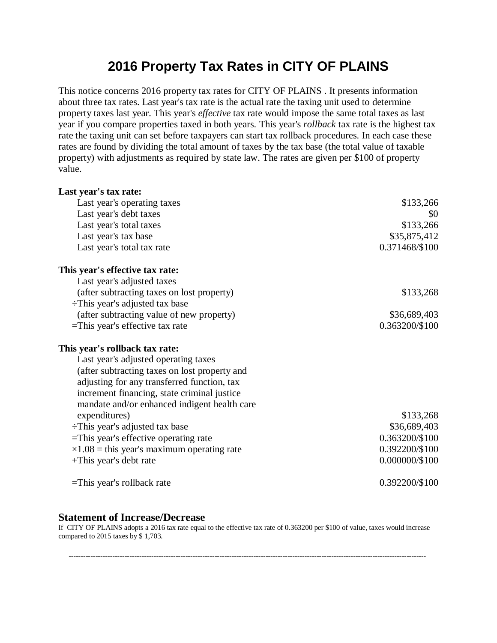## **2016 Property Tax Rates in CITY OF PLAINS**

This notice concerns 2016 property tax rates for CITY OF PLAINS . It presents information about three tax rates. Last year's tax rate is the actual rate the taxing unit used to determine property taxes last year. This year's *effective* tax rate would impose the same total taxes as last year if you compare properties taxed in both years. This year's *rollback* tax rate is the highest tax rate the taxing unit can set before taxpayers can start tax rollback procedures. In each case these rates are found by dividing the total amount of taxes by the tax base (the total value of taxable property) with adjustments as required by state law. The rates are given per \$100 of property value.

| Last year's tax rate:                              |                  |
|----------------------------------------------------|------------------|
| Last year's operating taxes                        | \$133,266        |
| Last year's debt taxes                             | \$0              |
| Last year's total taxes                            | \$133,266        |
| Last year's tax base                               | \$35,875,412     |
| Last year's total tax rate                         | 0.371468/\$100   |
| This year's effective tax rate:                    |                  |
| Last year's adjusted taxes                         |                  |
| (after subtracting taxes on lost property)         | \$133,268        |
| $\div$ This year's adjusted tax base               |                  |
| (after subtracting value of new property)          | \$36,689,403     |
| $=$ This year's effective tax rate                 | 0.363200/\$100   |
| This year's rollback tax rate:                     |                  |
| Last year's adjusted operating taxes               |                  |
| (after subtracting taxes on lost property and      |                  |
| adjusting for any transferred function, tax        |                  |
| increment financing, state criminal justice        |                  |
| mandate and/or enhanced indigent health care       |                  |
| expenditures)                                      | \$133,268        |
| $\div$ This year's adjusted tax base               | \$36,689,403     |
| =This year's effective operating rate              | 0.363200/\$100   |
| $\times 1.08$ = this year's maximum operating rate | 0.392200/\$100   |
| +This year's debt rate                             | $0.000000/\$100$ |
| $=$ This year's rollback rate                      | 0.392200/\$100   |

## **Statement of Increase/Decrease**

If CITY OF PLAINS adopts a 2016 tax rate equal to the effective tax rate of 0.363200 per \$100 of value, taxes would increase compared to 2015 taxes by \$ 1,703.

---------------------------------------------------------------------------------------------------------------------------------------------------